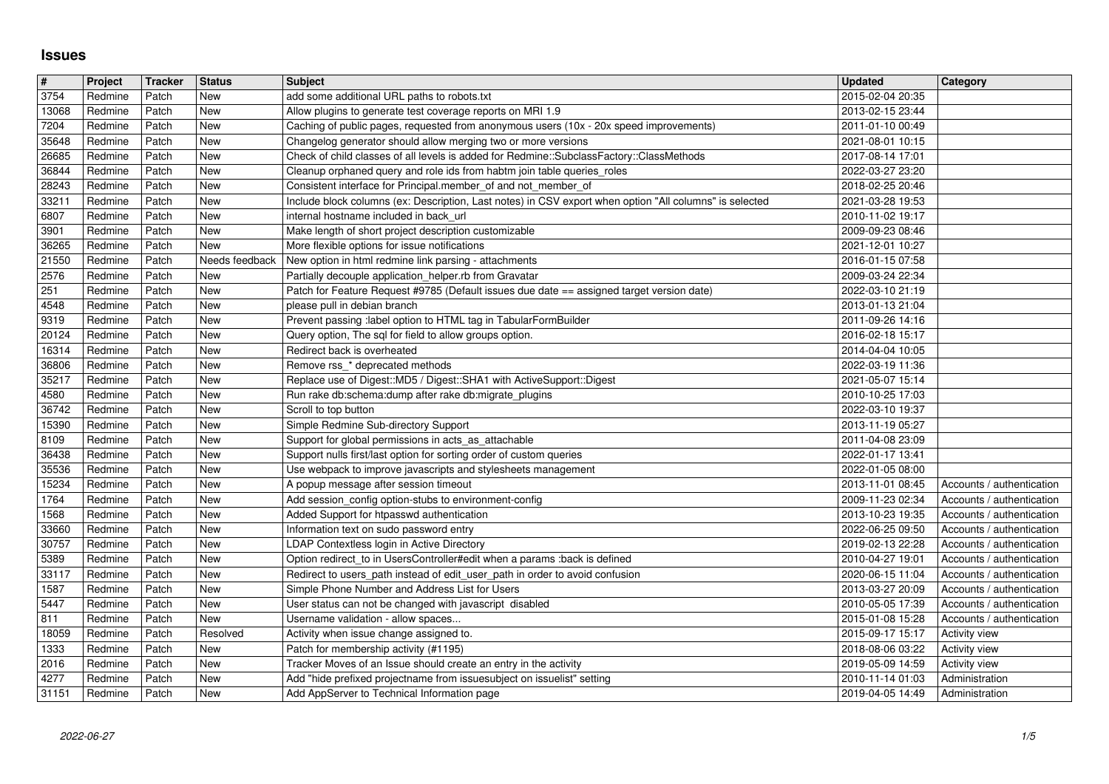## **Issues**

| $\overline{\#}$ | Project            | Tracker        | <b>Status</b>         | <b>Subject</b>                                                                                                                                            | <b>Updated</b>                       | <b>Category</b>                                        |
|-----------------|--------------------|----------------|-----------------------|-----------------------------------------------------------------------------------------------------------------------------------------------------------|--------------------------------------|--------------------------------------------------------|
| 3754<br>13068   | Redmine<br>Redmine | Patch<br>Patch | New<br>New            | add some additional URL paths to robots.txt<br>Allow plugins to generate test coverage reports on MRI 1.9                                                 | 2015-02-04 20:35<br>2013-02-15 23:44 |                                                        |
| 7204            | Redmine            | Patch          | New                   | Caching of public pages, requested from anonymous users (10x - 20x speed improvements)                                                                    | 2011-01-10 00:49                     |                                                        |
| 35648<br>26685  | Redmine<br>Redmine | Patch<br>Patch | New<br>New            | Changelog generator should allow merging two or more versions<br>Check of child classes of all levels is added for Redmine::SubclassFactory::ClassMethods | 2021-08-01 10:15<br>2017-08-14 17:01 |                                                        |
| 36844           | Redmine            | Patch          | New                   | Cleanup orphaned query and role ids from habtm join table queries_roles                                                                                   | 2022-03-27 23:20                     |                                                        |
| 28243           | Redmine            | Patch          | New                   | Consistent interface for Principal.member_of and not_member_of                                                                                            | 2018-02-25 20:46                     |                                                        |
| 33211<br>6807   | Redmine<br>Redmine | Patch<br>Patch | New<br>New            | Include block columns (ex: Description, Last notes) in CSV export when option "All columns" is selected<br>internal hostname included in back url         | 2021-03-28 19:53<br>2010-11-02 19:17 |                                                        |
| 3901            | Redmine            | Patch          | New                   | Make length of short project description customizable                                                                                                     | 2009-09-23 08:46                     |                                                        |
| 36265<br>21550  | Redmine<br>Redmine | Patch<br>Patch | New<br>Needs feedback | More flexible options for issue notifications                                                                                                             | 2021-12-01 10:27<br>2016-01-15 07:58 |                                                        |
| 2576            | Redmine            | Patch          | New                   | New option in html redmine link parsing - attachments<br>Partially decouple application_helper.rb from Gravatar                                           | 2009-03-24 22:34                     |                                                        |
| 251             | Redmine            | Patch          | New                   | Patch for Feature Request #9785 (Default issues due date == assigned target version date)                                                                 | 2022-03-10 21:19                     |                                                        |
| 4548<br>9319    | Redmine<br>Redmine | Patch<br>Patch | New<br>New            | please pull in debian branch<br>Prevent passing :label option to HTML tag in TabularFormBuilder                                                           | 2013-01-13 21:04<br>2011-09-26 14:16 |                                                        |
| 20124           | Redmine            | Patch          | New                   | Query option, The sql for field to allow groups option.                                                                                                   | 2016-02-18 15:17                     |                                                        |
| 16314<br>36806  | Redmine<br>Redmine | Patch<br>Patch | New<br>New            | Redirect back is overheated<br>Remove rss_* deprecated methods                                                                                            | 2014-04-04 10:05<br>2022-03-19 11:36 |                                                        |
| 35217           | Redmine            | Patch          | New                   | Replace use of Digest:: MD5 / Digest:: SHA1 with ActiveSupport:: Digest                                                                                   | 2021-05-07 15:14                     |                                                        |
| 4580            | Redmine            | Patch          | New                   | Run rake db:schema:dump after rake db:migrate_plugins                                                                                                     | 2010-10-25 17:03                     |                                                        |
| 36742<br>15390  | Redmine<br>Redmine | Patch<br>Patch | New<br>New            | Scroll to top button<br>Simple Redmine Sub-directory Support                                                                                              | 2022-03-10 19:37<br>2013-11-19 05:27 |                                                        |
| 8109            | Redmine            | Patch          | New                   | Support for global permissions in acts_as_attachable                                                                                                      | 2011-04-08 23:09                     |                                                        |
| 36438           | Redmine            | Patch          | New                   | Support nulls first/last option for sorting order of custom queries                                                                                       | 2022-01-17 13:41                     |                                                        |
| 35536<br>15234  | Redmine<br>Redmine | Patch<br>Patch | New<br>New            | Use webpack to improve javascripts and stylesheets management<br>A popup message after session timeout                                                    | 2022-01-05 08:00<br>2013-11-01 08:45 | Accounts / authentication                              |
| 1764            | Redmine            | Patch          | New                   | Add session_config option-stubs to environment-config                                                                                                     | 2009-11-23 02:34                     | Accounts / authentication                              |
| 1568<br>33660   | Redmine<br>Redmine | Patch<br>Patch | New<br>New            | Added Support for htpasswd authentication<br>Information text on sudo password entry                                                                      | 2013-10-23 19:35<br>2022-06-25 09:50 | Accounts / authentication<br>Accounts / authentication |
| 30757           | Redmine            | Patch          | New                   | LDAP Contextless login in Active Directory                                                                                                                | 2019-02-13 22:28                     | Accounts / authentication                              |
| 5389            | Redmine            | Patch          | New                   | Option redirect_to in UsersController#edit when a params :back is defined                                                                                 | 2010-04-27 19:01                     | Accounts / authentication                              |
| 33117<br>1587   | Redmine<br>Redmine | Patch<br>Patch | New<br>New            | Redirect to users_path instead of edit_user_path in order to avoid confusion<br>Simple Phone Number and Address List for Users                            | 2020-06-15 11:04<br>2013-03-27 20:09 | Accounts / authentication<br>Accounts / authentication |
| 5447            | Redmine            | Patch          | New                   | User status can not be changed with javascript disabled                                                                                                   | 2010-05-05 17:39                     | Accounts / authentication                              |
| 811<br>18059    | Redmine<br>Redmine | Patch<br>Patch | New<br>Resolved       | Username validation - allow spaces<br>Activity when issue change assigned to.                                                                             | 2015-01-08 15:28<br>2015-09-17 15:17 | Accounts / authentication<br>Activity view             |
| 1333            | Redmine            | Patch          | New                   | Patch for membership activity (#1195)                                                                                                                     | 2018-08-06 03:22                     | Activity view                                          |
| 2016            | Redmine            | Patch          | New                   | Tracker Moves of an Issue should create an entry in the activity                                                                                          | 2019-05-09 14:59                     | Activity view                                          |
| 4277<br>31151   | Redmine<br>Redmine | Patch<br>Patch | New<br>New            | Add "hide prefixed projectname from issuesubject on issuelist" setting<br>Add AppServer to Technical Information page                                     | 2010-11-14 01:03<br>2019-04-05 14:49 | Administration<br>Administration                       |
|                 |                    |                |                       |                                                                                                                                                           |                                      |                                                        |
|                 |                    |                |                       |                                                                                                                                                           |                                      |                                                        |
|                 |                    |                |                       |                                                                                                                                                           |                                      |                                                        |
|                 |                    |                |                       |                                                                                                                                                           |                                      |                                                        |
|                 |                    |                |                       |                                                                                                                                                           |                                      |                                                        |
|                 |                    |                |                       |                                                                                                                                                           |                                      |                                                        |
|                 |                    |                |                       |                                                                                                                                                           |                                      |                                                        |
|                 |                    |                |                       |                                                                                                                                                           |                                      |                                                        |
|                 |                    |                |                       |                                                                                                                                                           |                                      |                                                        |
|                 |                    |                |                       |                                                                                                                                                           |                                      |                                                        |
|                 |                    |                |                       |                                                                                                                                                           |                                      |                                                        |
|                 |                    |                |                       |                                                                                                                                                           |                                      |                                                        |
|                 |                    |                |                       |                                                                                                                                                           |                                      |                                                        |
|                 |                    |                |                       |                                                                                                                                                           |                                      |                                                        |
|                 |                    |                |                       |                                                                                                                                                           |                                      |                                                        |
|                 |                    |                |                       |                                                                                                                                                           |                                      |                                                        |
|                 |                    |                |                       |                                                                                                                                                           |                                      |                                                        |
|                 |                    |                |                       |                                                                                                                                                           |                                      |                                                        |
|                 |                    |                |                       |                                                                                                                                                           |                                      |                                                        |
|                 |                    |                |                       |                                                                                                                                                           |                                      |                                                        |
|                 |                    |                |                       |                                                                                                                                                           |                                      |                                                        |
|                 |                    |                |                       |                                                                                                                                                           |                                      |                                                        |
|                 |                    |                |                       |                                                                                                                                                           |                                      |                                                        |
|                 |                    |                |                       |                                                                                                                                                           |                                      |                                                        |
|                 |                    |                |                       |                                                                                                                                                           |                                      |                                                        |
|                 |                    |                |                       |                                                                                                                                                           |                                      |                                                        |
|                 |                    |                |                       |                                                                                                                                                           |                                      |                                                        |
|                 |                    |                |                       |                                                                                                                                                           |                                      |                                                        |
|                 |                    |                |                       |                                                                                                                                                           |                                      |                                                        |
|                 |                    |                |                       |                                                                                                                                                           |                                      |                                                        |
|                 |                    |                |                       |                                                                                                                                                           |                                      |                                                        |
|                 |                    |                |                       |                                                                                                                                                           |                                      |                                                        |
|                 |                    |                |                       |                                                                                                                                                           |                                      |                                                        |
|                 |                    |                |                       |                                                                                                                                                           |                                      |                                                        |
|                 |                    |                |                       |                                                                                                                                                           |                                      |                                                        |
|                 |                    |                |                       |                                                                                                                                                           |                                      |                                                        |
|                 |                    |                |                       |                                                                                                                                                           |                                      |                                                        |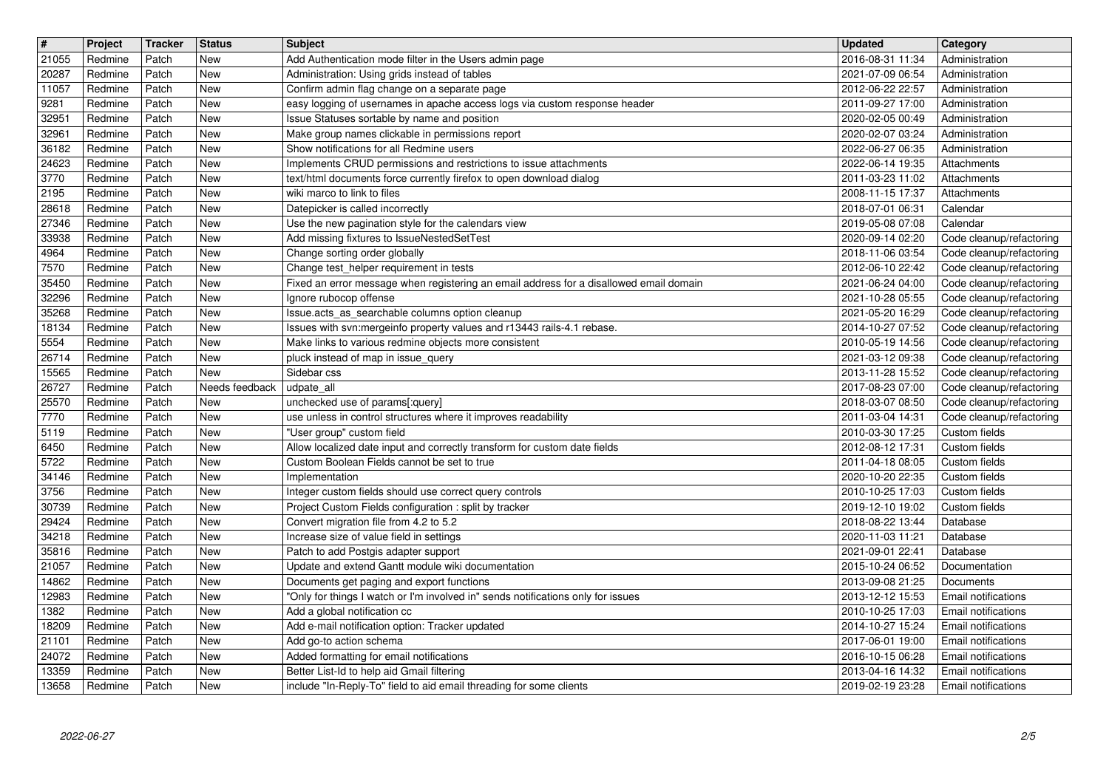| $\overline{\mathbf{H}}$ | Project            | Tracker        | <b>Status</b>         | <b>Subject</b>                                                                                                           | <b>Updated</b>                                           | <b>Category</b>                                      |
|-------------------------|--------------------|----------------|-----------------------|--------------------------------------------------------------------------------------------------------------------------|----------------------------------------------------------|------------------------------------------------------|
| 21055                   | Redmine            | Patch          | New<br>New            | Add Authentication mode filter in the Users admin page                                                                   | 2016-08-31 11:34                                         | Administration<br>Administration                     |
| 20287<br>11057          | Redmine<br>Redmine | Patch<br>Patch | New                   | Administration: Using grids instead of tables<br>Confirm admin flag change on a separate page                            | 2021-07-09 06:54<br>2012-06-22 22:57                     | Administration                                       |
| 9281                    | Redmine            | Patch          | New                   | easy logging of usernames in apache access logs via custom response header                                               | 2011-09-27 17:00                                         | Administration                                       |
| 32951                   | Redmine            | Patch          | New                   | Issue Statuses sortable by name and position                                                                             | 2020-02-05 00:49                                         | Administration                                       |
| 32961                   | Redmine            | Patch          | New                   | Make group names clickable in permissions report                                                                         | 2020-02-07 03:24                                         | Administration                                       |
| 36182<br>24623          | Redmine<br>Redmine | Patch<br>Patch | New<br>New            | Show notifications for all Redmine users<br>Implements CRUD permissions and restrictions to issue attachments            | 2022-06-27 06:35<br>2022-06-14 19:35                     | Administration<br>Attachments                        |
| 3770                    | Redmine            | Patch          | New                   | text/html documents force currently firefox to open download dialog                                                      | 2011-03-23 11:02                                         | Attachments                                          |
| 2195                    | Redmine            | Patch          | New                   | wiki marco to link to files                                                                                              | 2008-11-15 17:37                                         | Attachments                                          |
| 28618                   | Redmine            | Patch          | New                   | Datepicker is called incorrectly                                                                                         | 2018-07-01 06:31                                         | Calendar                                             |
| 27346<br>33938          | Redmine<br>Redmine | Patch<br>Patch | New<br>New            | Use the new pagination style for the calendars view<br>Add missing fixtures to IssueNestedSetTest                        | 2019-05-08 07:08<br>2020-09-14 02:20                     | Calendar<br>Code cleanup/refactoring                 |
| 4964                    | Redmine            | Patch          | New                   | Change sorting order globally                                                                                            | 2018-11-06 03:54                                         | Code cleanup/refactoring                             |
| 7570                    | Redmine            | Patch          | New                   | Change test_helper requirement in tests                                                                                  | 2012-06-10 22:42                                         | Code cleanup/refactoring                             |
| 35450                   | Redmine            | Patch          | New                   | Fixed an error message when registering an email address for a disallowed email domain                                   | 2021-06-24 04:00                                         | Code cleanup/refactoring                             |
| 32296<br>35268          | Redmine<br>Redmine | Patch<br>Patch | New<br>New            | Ignore rubocop offense<br>Issue.acts_as_searchable columns option cleanup                                                | 2021-10-28 05:55<br>2021-05-20 16:29                     | Code cleanup/refactoring<br>Code cleanup/refactoring |
| 18134                   | Redmine            | Patch          | New                   | Issues with svn:mergeinfo property values and r13443 rails-4.1 rebase.                                                   | 2014-10-27 07:52                                         | Code cleanup/refactoring                             |
| 5554                    | Redmine            | Patch          | New                   | Make links to various redmine objects more consistent                                                                    | 2010-05-19 14:56                                         | Code cleanup/refactoring                             |
| 26714                   | Redmine            | Patch          | New                   | pluck instead of map in issue_query                                                                                      | 2021-03-12 09:38                                         | Code cleanup/refactoring                             |
| 15565<br>26727          | Redmine<br>Redmine | Patch<br>Patch | New<br>Needs feedback | Sidebar css<br>udpate_all                                                                                                | 2013-11-28 15:52<br>2017-08-23 07:00                     | Code cleanup/refactoring<br>Code cleanup/refactoring |
| 25570                   | Redmine            | Patch          | New                   | unchecked use of params[:query]                                                                                          | 2018-03-07 08:50                                         | Code cleanup/refactoring                             |
| 7770                    | Redmine            | Patch          | New                   | use unless in control structures where it improves readability                                                           | 2011-03-04 14:31                                         | Code cleanup/refactoring                             |
| 5119                    | Redmine            | Patch          | New                   | "User group" custom field                                                                                                | 2010-03-30 17:25                                         | Custom fields                                        |
| 6450<br>5722            | Redmine<br>Redmine | Patch<br>Patch | New<br>New            | Allow localized date input and correctly transform for custom date fields<br>Custom Boolean Fields cannot be set to true | 2012-08-12 17:31<br>2011-04-18 08:05                     | Custom fields<br>Custom fields                       |
| 34146                   | Redmine            | Patch          | New                   | Implementation                                                                                                           | 2020-10-20 22:35                                         | Custom fields                                        |
| 3756                    | Redmine            | Patch          | New                   | Integer custom fields should use correct query controls                                                                  | 2010-10-25 17:03                                         | Custom fields                                        |
| 30739                   | Redmine            | Patch          | New                   | Project Custom Fields configuration : split by tracker                                                                   | 2019-12-10 19:02                                         | Custom fields                                        |
| 29424<br>34218          | Redmine<br>Redmine | Patch<br>Patch | New<br>New            | Convert migration file from 4.2 to 5.2<br>Increase size of value field in settings                                       | 2018-08-22 13:44<br>2020-11-03 11:21                     | Database<br>Database                                 |
| 35816                   | Redmine            | Patch          | New                   | Patch to add Postgis adapter support                                                                                     | 2021-09-01 22:41                                         | Database                                             |
| 21057                   | Redmine            | Patch          | New                   | Update and extend Gantt module wiki documentation                                                                        | 2015-10-24 06:52                                         | Documentation                                        |
| 14862                   | Redmine            | Patch          | New                   | Documents get paging and export functions                                                                                | 2013-09-08 21:25                                         | Documents                                            |
| 12983                   | Redmine            | Patch          | New                   | "Only for things I watch or I'm involved in" sends notifications only for issues                                         | 2013-12-12 15:53                                         | Email notifications                                  |
| 1382<br>18209           | Redmine<br>Redmine | Patch<br>Patch | New<br>New            | Add a global notification cc<br>Add e-mail notification option: Tracker updated                                          | 2010-10-25 17:03<br>2014-10-27 15:24 Email notifications | Email notifications                                  |
| 21101                   | Redmine            | Patch          | New                   | Add go-to action schema                                                                                                  | 2017-06-01 19:00                                         | Email notifications                                  |
| 24072                   | Redmine            | Patch          | New                   | Added formatting for email notifications                                                                                 | 2016-10-15 06:28                                         | Email notifications                                  |
| 13359<br>13658          | Redmine<br>Redmine | Patch<br>Patch | New<br>New            | Better List-Id to help aid Gmail filtering<br>include "In-Reply-To" field to aid email threading for some clients        | 2013-04-16 14:32<br>2019-02-19 23:28                     | Email notifications<br>Email notifications           |
|                         |                    |                |                       |                                                                                                                          |                                                          |                                                      |
|                         |                    |                |                       |                                                                                                                          |                                                          |                                                      |
|                         |                    |                |                       |                                                                                                                          |                                                          |                                                      |
|                         |                    |                |                       |                                                                                                                          |                                                          |                                                      |
|                         |                    |                |                       |                                                                                                                          |                                                          |                                                      |
|                         |                    |                |                       |                                                                                                                          |                                                          |                                                      |
|                         |                    |                |                       |                                                                                                                          |                                                          |                                                      |
|                         |                    |                |                       |                                                                                                                          |                                                          |                                                      |
|                         |                    |                |                       |                                                                                                                          |                                                          |                                                      |
|                         |                    |                |                       |                                                                                                                          |                                                          |                                                      |
|                         |                    |                |                       |                                                                                                                          |                                                          |                                                      |
|                         |                    |                |                       |                                                                                                                          |                                                          |                                                      |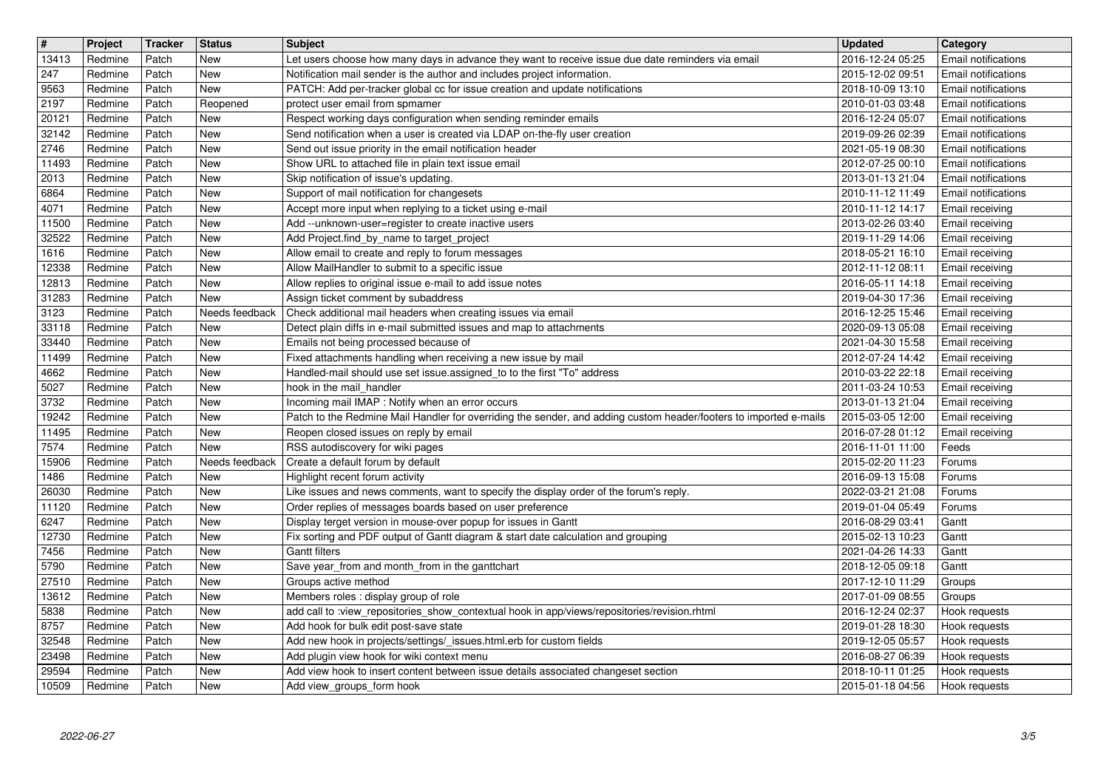| $\overline{\boldsymbol{H}}$ | Project            | Tracker        | <b>Status</b>         | <b>Subject</b>                                                                                                                                                                | <b>Updated</b>                       | Category<br><b>Email notifications</b>                   |
|-----------------------------|--------------------|----------------|-----------------------|-------------------------------------------------------------------------------------------------------------------------------------------------------------------------------|--------------------------------------|----------------------------------------------------------|
| 13413<br>247                | Redmine<br>Redmine | Patch<br>Patch | New<br>New            | Let users choose how many days in advance they want to receive issue due date reminders via email<br>Notification mail sender is the author and includes project information. | 2016-12-24 05:25<br>2015-12-02 09:51 | Email notifications                                      |
| 9563<br>2197                | Redmine<br>Redmine | Patch<br>Patch | New<br>Reopened       | PATCH: Add per-tracker global cc for issue creation and update notifications<br>protect user email from spmamer                                                               | 2018-10-09 13:10<br>2010-01-03 03:48 | <b>Email notifications</b><br><b>Email notifications</b> |
| 20121                       | Redmine            | Patch          | New                   | Respect working days configuration when sending reminder emails                                                                                                               | 2016-12-24 05:07                     | <b>Email notifications</b>                               |
| 32142<br>2746               | Redmine<br>Redmine | Patch<br>Patch | New<br>New            | Send notification when a user is created via LDAP on-the-fly user creation<br>Send out issue priority in the email notification header                                        | 2019-09-26 02:39<br>2021-05-19 08:30 | <b>Email notifications</b><br><b>Email notifications</b> |
| 11493                       | Redmine            | Patch          | New                   | Show URL to attached file in plain text issue email                                                                                                                           | 2012-07-25 00:10                     | Email notifications                                      |
| 2013<br>6864                | Redmine<br>Redmine | Patch<br>Patch | New<br>New            | Skip notification of issue's updating.<br>Support of mail notification for changesets                                                                                         | 2013-01-13 21:04<br>2010-11-12 11:49 | <b>Email notifications</b><br><b>Email notifications</b> |
| 4071                        | Redmine            | Patch          | New                   | Accept more input when replying to a ticket using e-mail                                                                                                                      | 2010-11-12 14:17                     | Email receiving                                          |
| 11500<br>32522              | Redmine<br>Redmine | Patch<br>Patch | New<br>New            | Add --unknown-user=register to create inactive users<br>Add Project.find_by_name to target_project                                                                            | 2013-02-26 03:40<br>2019-11-29 14:06 | Email receiving<br>Email receiving                       |
| 1616                        | Redmine            | Patch          | New                   | Allow email to create and reply to forum messages                                                                                                                             | 2018-05-21 16:10                     | Email receiving                                          |
| 12338<br>12813              | Redmine<br>Redmine | Patch<br>Patch | New<br>New            | Allow MailHandler to submit to a specific issue<br>Allow replies to original issue e-mail to add issue notes                                                                  | 2012-11-12 08:11<br>2016-05-11 14:18 | Email receiving<br>Email receiving                       |
| 31283<br>3123               | Redmine<br>Redmine | Patch<br>Patch | New<br>Needs feedback | Assign ticket comment by subaddress<br>Check additional mail headers when creating issues via email                                                                           | 2019-04-30 17:36<br>2016-12-25 15:46 | Email receiving<br>Email receiving                       |
| 33118                       | Redmine            | Patch          | New                   | Detect plain diffs in e-mail submitted issues and map to attachments                                                                                                          | 2020-09-13 05:08                     | <b>Email receiving</b>                                   |
| 33440<br>11499              | Redmine<br>Redmine | Patch<br>Patch | New<br>New            | Emails not being processed because of<br>Fixed attachments handling when receiving a new issue by mail                                                                        | 2021-04-30 15:58<br>2012-07-24 14:42 | Email receiving<br>Email receiving                       |
| 4662                        | Redmine            | Patch          | New                   | Handled-mail should use set issue.assigned_to to the first "To" address                                                                                                       | 2010-03-22 22:18                     | Email receiving                                          |
| 5027<br>3732                | Redmine<br>Redmine | Patch<br>Patch | New<br>New            | hook in the mail_handler<br>Incoming mail IMAP : Notify when an error occurs                                                                                                  | 2011-03-24 10:53<br>2013-01-13 21:04 | Email receiving<br>Email receiving                       |
| 19242                       | Redmine            | Patch          | New                   | Patch to the Redmine Mail Handler for overriding the sender, and adding custom header/footers to imported e-mails                                                             | 2015-03-05 12:00                     | Email receiving                                          |
| 11495<br>7574               | Redmine<br>Redmine | Patch<br>Patch | New<br>New            | Reopen closed issues on reply by email<br>RSS autodiscovery for wiki pages                                                                                                    | 2016-07-28 01:12<br>2016-11-01 11:00 | Email receiving<br>Feeds                                 |
| 15906<br>1486               | Redmine<br>Redmine | Patch<br>Patch | Needs feedback<br>New | Create a default forum by default                                                                                                                                             | 2015-02-20 11:23                     | Forums                                                   |
| 26030                       | Redmine            | Patch          | New                   | Highlight recent forum activity<br>Like issues and news comments, want to specify the display order of the forum's reply.                                                     | 2016-09-13 15:08<br>2022-03-21 21:08 | Forums<br>Forums                                         |
| 11120<br>6247               | Redmine<br>Redmine | Patch<br>Patch | New<br>New            | Order replies of messages boards based on user preference<br>Display terget version in mouse-over popup for issues in Gantt                                                   | 2019-01-04 05:49<br>2016-08-29 03:41 | Forums<br>Gantt                                          |
| 12730                       | Redmine            | Patch          | New                   | Fix sorting and PDF output of Gantt diagram & start date calculation and grouping                                                                                             | 2015-02-13 10:23                     | Gantt                                                    |
| 7456<br>5790                | Redmine<br>Redmine | Patch<br>Patch | New<br>New            | <b>Gantt filters</b><br>Save year_from and month_from in the ganttchart                                                                                                       | 2021-04-26 14:33<br>2018-12-05 09:18 | Gantt<br>Gantt                                           |
| 27510                       | Redmine            | Patch          | New                   | Groups active method                                                                                                                                                          | 2017-12-10 11:29                     | Groups                                                   |
| 13612<br>5838               | Redmine<br>Redmine | Patch<br>Patch | New<br>New            | Members roles : display group of role<br>add call to :view_repositories_show_contextual hook in app/views/repositories/revision.rhtml                                         | 2017-01-09 08:55<br>2016-12-24 02:37 | Groups<br>Hook requests                                  |
| 8757                        | Redmine            | Patch          | New                   | Add hook for bulk edit post-save state                                                                                                                                        | 2019-01-28 18:30                     | Hook requests                                            |
| 32548<br>23498              | Redmine<br>Redmine | Patch<br>Patch | New<br>New            | Add new hook in projects/settings/_issues.html.erb for custom fields<br>Add plugin view hook for wiki context menu                                                            | 2019-12-05 05:57<br>2016-08-27 06:39 | Hook requests<br>Hook requests                           |
| 29594<br>10509              | Redmine<br>Redmine | Patch<br>Patch | New<br>New            | Add view hook to insert content between issue details associated changeset section<br>Add view groups form hook                                                               | 2018-10-11 01:25<br>2015-01-18 04:56 | Hook requests<br>Hook requests                           |
|                             |                    |                |                       |                                                                                                                                                                               |                                      |                                                          |
|                             |                    |                |                       |                                                                                                                                                                               |                                      |                                                          |
|                             |                    |                |                       |                                                                                                                                                                               |                                      |                                                          |
|                             |                    |                |                       |                                                                                                                                                                               |                                      |                                                          |
|                             |                    |                |                       |                                                                                                                                                                               |                                      |                                                          |
|                             |                    |                |                       |                                                                                                                                                                               |                                      |                                                          |
|                             |                    |                |                       |                                                                                                                                                                               |                                      |                                                          |
|                             |                    |                |                       |                                                                                                                                                                               |                                      |                                                          |
|                             |                    |                |                       |                                                                                                                                                                               |                                      |                                                          |
|                             |                    |                |                       |                                                                                                                                                                               |                                      |                                                          |
|                             |                    |                |                       |                                                                                                                                                                               |                                      |                                                          |
|                             |                    |                |                       |                                                                                                                                                                               |                                      |                                                          |
|                             |                    |                |                       |                                                                                                                                                                               |                                      |                                                          |
|                             |                    |                |                       |                                                                                                                                                                               |                                      |                                                          |
|                             |                    |                |                       |                                                                                                                                                                               |                                      |                                                          |
|                             |                    |                |                       |                                                                                                                                                                               |                                      |                                                          |
|                             |                    |                |                       |                                                                                                                                                                               |                                      |                                                          |
|                             |                    |                |                       |                                                                                                                                                                               |                                      |                                                          |
|                             |                    |                |                       |                                                                                                                                                                               |                                      |                                                          |
|                             |                    |                |                       |                                                                                                                                                                               |                                      |                                                          |
|                             |                    |                |                       |                                                                                                                                                                               |                                      |                                                          |
|                             |                    |                |                       |                                                                                                                                                                               |                                      |                                                          |
|                             |                    |                |                       |                                                                                                                                                                               |                                      |                                                          |
|                             |                    |                |                       |                                                                                                                                                                               |                                      |                                                          |
|                             |                    |                |                       |                                                                                                                                                                               |                                      |                                                          |
|                             |                    |                |                       |                                                                                                                                                                               |                                      |                                                          |
|                             |                    |                |                       |                                                                                                                                                                               |                                      |                                                          |
|                             |                    |                |                       |                                                                                                                                                                               |                                      |                                                          |
|                             |                    |                |                       |                                                                                                                                                                               |                                      |                                                          |
|                             |                    |                |                       |                                                                                                                                                                               |                                      |                                                          |
|                             |                    |                |                       |                                                                                                                                                                               |                                      |                                                          |
|                             |                    |                |                       |                                                                                                                                                                               |                                      |                                                          |
|                             |                    |                |                       |                                                                                                                                                                               |                                      |                                                          |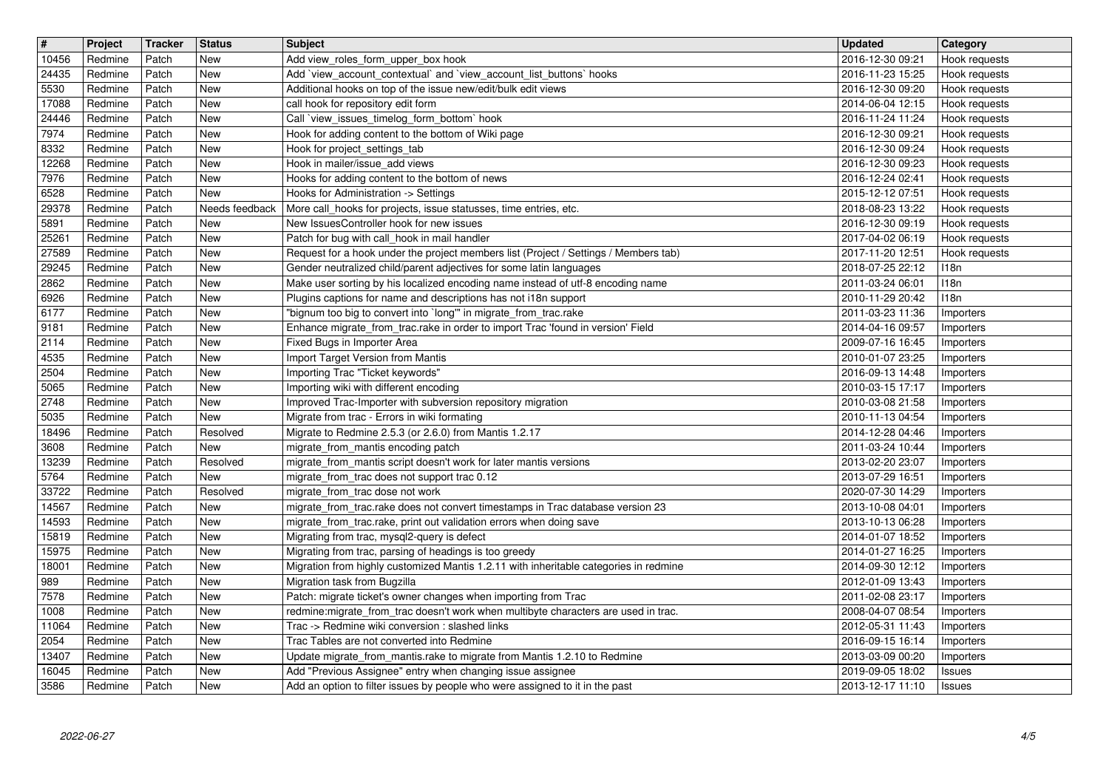| $\overline{\mathbf{r}}$ | Project            | Tracker        | <b>Status</b>            | <b>Subject</b>                                                                                                                                         | <b>Updated</b>                       | Category                       |
|-------------------------|--------------------|----------------|--------------------------|--------------------------------------------------------------------------------------------------------------------------------------------------------|--------------------------------------|--------------------------------|
| 10456<br>24435          | Redmine<br>Redmine | Patch<br>Patch | <b>New</b><br><b>New</b> | Add view_roles_form_upper_box hook<br>Add 'view_account_contextual' and 'view_account_list_buttons' hooks                                              | 2016-12-30 09:21<br>2016-11-23 15:25 | Hook requests<br>Hook requests |
| 5530                    | Redmine            | Patch          | New                      | Additional hooks on top of the issue new/edit/bulk edit views                                                                                          | 2016-12-30 09:20                     | Hook requests                  |
| 17088                   | Redmine            | Patch          | <b>New</b>               | call hook for repository edit form                                                                                                                     | 2014-06-04 12:15                     | Hook requests                  |
| 24446<br>7974           | Redmine<br>Redmine | Patch<br>Patch | New<br><b>New</b>        | Call `view_issues_timelog_form_bottom` hook<br>Hook for adding content to the bottom of Wiki page                                                      | 2016-11-24 11:24<br>2016-12-30 09:21 | Hook requests<br>Hook requests |
| 8332                    | Redmine            | Patch          | <b>New</b>               | Hook for project_settings_tab                                                                                                                          | 2016-12-30 09:24                     | Hook requests                  |
| 12268<br>7976           | Redmine<br>Redmine | Patch<br>Patch | <b>New</b><br><b>New</b> | Hook in mailer/issue_add views<br>Hooks for adding content to the bottom of news                                                                       | 2016-12-30 09:23<br>2016-12-24 02:41 | Hook requests<br>Hook requests |
| 6528                    | Redmine            | Patch          | <b>New</b>               | Hooks for Administration -> Settings                                                                                                                   | 2015-12-12 07:51                     | Hook requests                  |
| 29378                   | Redmine            | Patch          | Needs feedback           | More call_hooks for projects, issue statusses, time entries, etc.                                                                                      | 2018-08-23 13:22                     | Hook requests                  |
| 5891<br>25261           | Redmine<br>Redmine | Patch<br>Patch | New<br><b>New</b>        | New IssuesController hook for new issues<br>Patch for bug with call_hook in mail handler                                                               | 2016-12-30 09:19<br>2017-04-02 06:19 | Hook requests<br>Hook requests |
| 27589                   | Redmine            | Patch          | <b>New</b>               | Request for a hook under the project members list (Project / Settings / Members tab)                                                                   | 2017-11-20 12:51                     | Hook requests                  |
| 29245<br>2862           | Redmine<br>Redmine | Patch<br>Patch | <b>New</b><br><b>New</b> | Gender neutralized child/parent adjectives for some latin languages<br>Make user sorting by his localized encoding name instead of utf-8 encoding name | 2018-07-25 22:12<br>2011-03-24 06:01 | 118n<br>118n                   |
| 6926                    | Redmine            | Patch          | <b>New</b>               | Plugins captions for name and descriptions has not i18n support                                                                                        | 2010-11-29 20:42                     | 118n                           |
| 6177                    | Redmine            | Patch          | <b>New</b>               | "bignum too big to convert into `long'" in migrate_from_trac.rake                                                                                      | 2011-03-23 11:36                     | Importers                      |
| 9181<br>2114            | Redmine<br>Redmine | Patch<br>Patch | <b>New</b><br><b>New</b> | Enhance migrate_from_trac.rake in order to import Trac 'found in version' Field<br>Fixed Bugs in Importer Area                                         | 2014-04-16 09:57<br>2009-07-16 16:45 | Importers<br>Importers         |
| 4535                    | Redmine            | Patch          | <b>New</b>               | Import Target Version from Mantis                                                                                                                      | 2010-01-07 23:25                     | Importers                      |
| 2504<br>5065            | Redmine<br>Redmine | Patch<br>Patch | <b>New</b><br><b>New</b> | Importing Trac "Ticket keywords"<br>Importing wiki with different encoding                                                                             | 2016-09-13 14:48<br>2010-03-15 17:17 | Importers<br>Importers         |
| 2748                    | Redmine            | Patch          | <b>New</b>               | Improved Trac-Importer with subversion repository migration                                                                                            | 2010-03-08 21:58                     | Importers                      |
| 5035                    | Redmine            | Patch          | New                      | Migrate from trac - Errors in wiki formating                                                                                                           | 2010-11-13 04:54                     | Importers                      |
| 18496<br>3608           | Redmine<br>Redmine | Patch<br>Patch | Resolved<br>New          | Migrate to Redmine 2.5.3 (or 2.6.0) from Mantis 1.2.17<br>migrate_from_mantis encoding patch                                                           | 2014-12-28 04:46<br>2011-03-24 10:44 | Importers<br>Importers         |
| 13239                   | Redmine            | Patch          | Resolved                 | migrate_from_mantis script doesn't work for later mantis versions                                                                                      | 2013-02-20 23:07                     | Importers                      |
| 5764<br>33722           | Redmine<br>Redmine | Patch<br>Patch | <b>New</b><br>Resolved   | migrate_from_trac does not support trac 0.12<br>migrate_from_trac dose not work                                                                        | 2013-07-29 16:51<br>2020-07-30 14:29 | Importers<br>Importers         |
| 14567                   | Redmine            | Patch          | <b>New</b>               | migrate_from_trac.rake does not convert timestamps in Trac database version 23                                                                         | 2013-10-08 04:01                     | Importers                      |
| 14593                   | Redmine            | Patch          | <b>New</b>               | migrate_from_trac.rake, print out validation errors when doing save                                                                                    | 2013-10-13 06:28                     | Importers                      |
| 15819<br>15975          | Redmine<br>Redmine | Patch<br>Patch | <b>New</b><br><b>New</b> | Migrating from trac, mysql2-query is defect<br>Migrating from trac, parsing of headings is too greedy                                                  | 2014-01-07 18:52<br>2014-01-27 16:25 | Importers<br>Importers         |
| 18001                   | Redmine            | Patch          | New                      | Migration from highly customized Mantis 1.2.11 with inheritable categories in redmine                                                                  | 2014-09-30 12:12                     | Importers                      |
| 989<br>7578             | Redmine<br>Redmine | Patch<br>Patch | <b>New</b><br><b>New</b> | Migration task from Bugzilla<br>Patch: migrate ticket's owner changes when importing from Trac                                                         | 2012-01-09 13:43<br>2011-02-08 23:17 | Importers<br>Importers         |
| 1008                    | Redmine            | Patch          | <b>New</b>               | redmine: migrate_from_trac doesn't work when multibyte characters are used in trac.                                                                    | 2008-04-07 08:54                     | Importers                      |
| 11064                   | Redmine            | Patch          | New                      | Trac -> Redmine wiki conversion : slashed links                                                                                                        | 2012-05-31 11:43                     | Importers                      |
| 2054<br>13407           | Redmine<br>Redmine | Patch<br>Patch | <b>New</b><br>New        | Trac Tables are not converted into Redmine<br>Update migrate_from_mantis.rake to migrate from Mantis 1.2.10 to Redmine                                 | 2016-09-15 16:14<br>2013-03-09 00:20 | Importers<br>Importers         |
| 16045<br>3586           | Redmine<br>Redmine | Patch<br>Patch | <b>New</b><br><b>New</b> | Add "Previous Assignee" entry when changing issue assignee<br>Add an option to filter issues by people who were assigned to it in the past             | 2019-09-05 18:02<br>2013-12-17 11:10 | Issues<br>Issues               |
|                         |                    |                |                          |                                                                                                                                                        |                                      |                                |
|                         |                    |                |                          |                                                                                                                                                        |                                      |                                |
|                         |                    |                |                          |                                                                                                                                                        |                                      |                                |
|                         |                    |                |                          |                                                                                                                                                        |                                      |                                |
|                         |                    |                |                          |                                                                                                                                                        |                                      |                                |
|                         |                    |                |                          |                                                                                                                                                        |                                      |                                |
|                         |                    |                |                          |                                                                                                                                                        |                                      |                                |
|                         |                    |                |                          |                                                                                                                                                        |                                      |                                |
|                         |                    |                |                          |                                                                                                                                                        |                                      |                                |
|                         |                    |                |                          |                                                                                                                                                        |                                      |                                |
|                         |                    |                |                          |                                                                                                                                                        |                                      |                                |
|                         |                    |                |                          |                                                                                                                                                        |                                      |                                |
|                         |                    |                |                          |                                                                                                                                                        |                                      |                                |
|                         |                    |                |                          |                                                                                                                                                        |                                      |                                |
|                         |                    |                |                          |                                                                                                                                                        |                                      |                                |
|                         |                    |                |                          |                                                                                                                                                        |                                      |                                |
|                         |                    |                |                          |                                                                                                                                                        |                                      |                                |
|                         |                    |                |                          |                                                                                                                                                        |                                      |                                |
|                         |                    |                |                          |                                                                                                                                                        |                                      |                                |